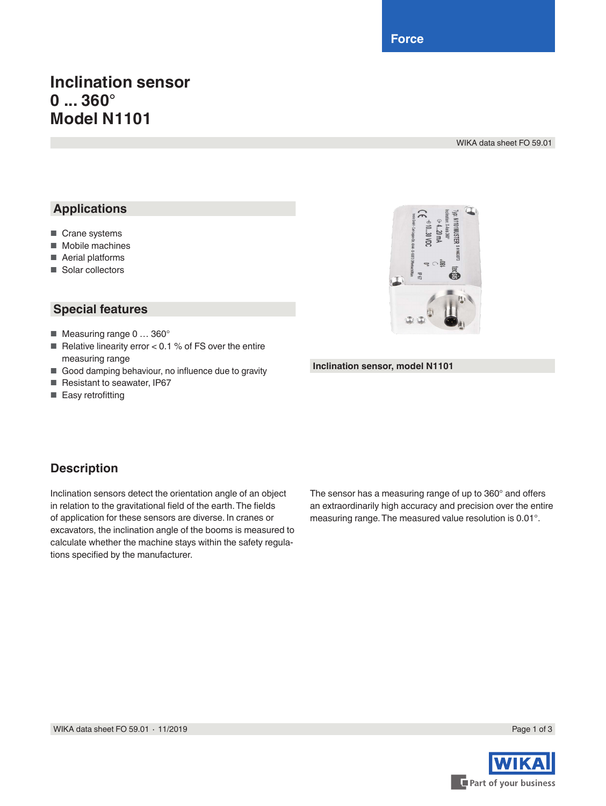**Force**

# **Inclination sensor 0 ... 360° Model N1101**

WIKA data sheet FO 59.01

## **Applications**

- Crane systems
- Mobile machines
- Aerial platforms
- Solar collectors

### **Special features**

- Measuring range 0 ... 360°
- Relative linearity error <  $0.1$  % of FS over the entire measuring range
- Good damping behaviour, no influence due to gravity
- Resistant to seawater, IP67
- Easy retrofitting



#### **Inclination sensor, model N1101**

### **Description**

Inclination sensors detect the orientation angle of an object in relation to the gravitational field of the earth. The fields of application for these sensors are diverse. In cranes or excavators, the inclination angle of the booms is measured to calculate whether the machine stays within the safety regulations specified by the manufacturer.

The sensor has a measuring range of up to 360° and offers an extraordinarily high accuracy and precision over the entire measuring range. The measured value resolution is 0.01°.

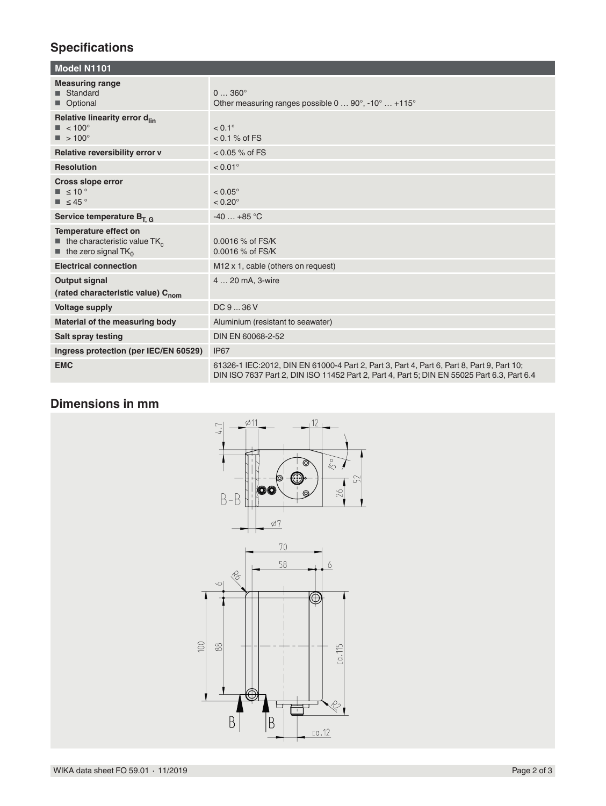# **Specifications**

| Model N1101                                                                                                                        |                                                                                                                                                                                         |  |
|------------------------------------------------------------------------------------------------------------------------------------|-----------------------------------------------------------------------------------------------------------------------------------------------------------------------------------------|--|
| <b>Measuring range</b><br>■ Standard<br>Optional                                                                                   | $0360^{\circ}$<br>Other measuring ranges possible $0 \dots 90^\circ$ , -10 $^\circ \dots +115^\circ$                                                                                    |  |
| Relative linearity error d <sub>lin</sub><br>$\blacksquare$ < 100°<br>$\blacksquare$ > 100°                                        | $< 0.1^{\circ}$<br>$< 0.1 %$ of FS                                                                                                                                                      |  |
| Relative reversibility error v                                                                                                     | $< 0.05 %$ of FS                                                                                                                                                                        |  |
| <b>Resolution</b>                                                                                                                  | $< 0.01$ °                                                                                                                                                                              |  |
| <b>Cross slope error</b><br>$\blacksquare$ $\leq$ 10 $^{\circ}$<br>$\blacksquare$ $\leq$ 45 $\degree$                              | $< 0.05^{\circ}$<br>$< 0.20^\circ$                                                                                                                                                      |  |
| Service temperature $B_{T, G}$                                                                                                     | $-40+85$ °C                                                                                                                                                                             |  |
| Temperature effect on<br>$\blacksquare$ the characteristic value TK <sub>c</sub><br>$\blacksquare$ the zero signal TK <sub>0</sub> | $0.0016$ % of FS/K<br>0.0016 % of FS/K                                                                                                                                                  |  |
| <b>Electrical connection</b>                                                                                                       | M <sub>12</sub> x 1, cable (others on request)                                                                                                                                          |  |
| <b>Output signal</b><br>(rated characteristic value) C <sub>nom</sub>                                                              | 4  20 mA, 3-wire                                                                                                                                                                        |  |
| <b>Voltage supply</b>                                                                                                              | DC936V                                                                                                                                                                                  |  |
| Material of the measuring body                                                                                                     | Aluminium (resistant to seawater)                                                                                                                                                       |  |
| <b>Salt spray testing</b>                                                                                                          | DIN EN 60068-2-52                                                                                                                                                                       |  |
| Ingress protection (per IEC/EN 60529)                                                                                              | IP67                                                                                                                                                                                    |  |
| <b>EMC</b>                                                                                                                         | 61326-1 IEC:2012, DIN EN 61000-4 Part 2, Part 3, Part 4, Part 6, Part 8, Part 9, Part 10;<br>DIN ISO 7637 Part 2, DIN ISO 11452 Part 2, Part 4, Part 5; DIN EN 55025 Part 6.3, Part 6.4 |  |

## **Dimensions in mm**